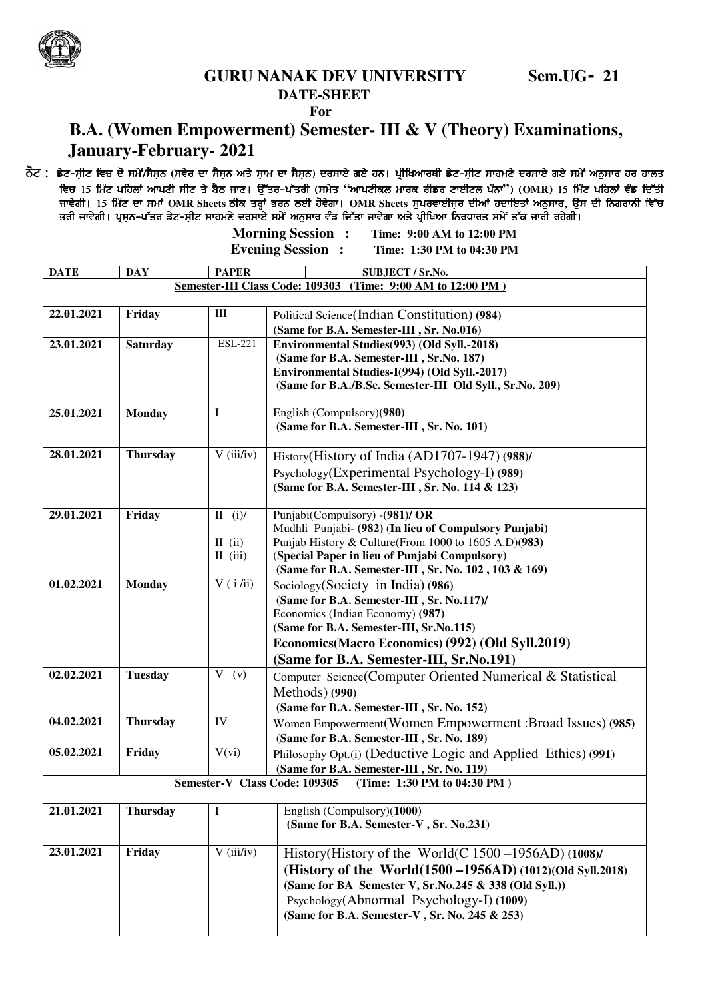

## **GURU NANAK DEV UNIVERSITY Sem.UG- 21**

## **DATE-SHEET**

*For* 

## **B.A. (Women Empowerment) Semester- III & V (Theory) Examinations, January-February- 2021**

ਨੋਟ : ਡੇਟ-ਸੀਟ ਵਿਚ ਦੋ ਸਮੇਂ/ਸੈਸਨ (ਸਵੇਰ ਦਾ ਸੈਸਨ ਅਤੇ ਸ਼ਾਮ ਦਾ ਸੈਸਨ) ਦਰਸਾਏ ਗਏ ਹਨ। ਪ੍ਰੀਖਿਆਰਥੀ ਡੇਟ-ਸੀਟ ਸਾਹਮਣੇ ਦਰਸਾਏ ਗਏ ਸਮੇਂ ਅਨੁਸਾਰ ਹਰ ਹਾਲਤ *ftu 15 fwzN gfjbK nkgDh ;hN s/ p ?m ikD. T[Zso^gZsoh (;w/s* **"***nkgNheb wkoe ohvo NkJhNb gzBk***"***) (***OMR***) 15 fwzN gfjbK t zv fdZsh ) fwzN t fdZsh ikt /rh. 15 fwzN dk ;wK* **OMR Sheets** *mhe soQK GoB bJh j't /rk.* **OMR Sheets***; [gotkJhiao dhnK jdkfJsK nB[;ko, T[; dh fBrokBh ft [gotkJhiao jdkfJsK dh fBrokBh ftZu*  ਭਰੀ ਜਾਵੇਗੀ। ਪਸਨ-ਪੱਤਰ ਡੇਟ-ਸੀਟ ਸਾਹਮਣੇ ਦਰਸਾਏ ਸਮੇਂ ਅਨਸਾਰ ਵੰਡ ਦਿੱਤਾ ਜਾਵੇਗਾ ਅਤੇ ਪੀਖਿਆ ਨਿਰਧਾਰਤ ਸਮੇਂ ਤੱਕ ਜਾਰੀ ਰਹੇਗੀ। **Morning Session : Time: 9:00 AM to 12:00 PM**

 **Evening Session : Time: 1:30 PM to 04:30 PM DATE** DAY **PAPER** SUBJECT / ST.No. **Semester-III Class Code: 109303 (Time: 9:00 AM to 12:00 PM ) 22.01.2021** Friday III Political Science(Indian Constitution) (984) **(Same for B.A. Semester-III , Sr. No.016) 23.01.2021 Saturday** ESL-221 **Environmental Studies(993) (Old Syll.-2018) (Same for B.A. Semester-III , Sr.No. 187) Environmental Studies-I(994) (Old Syll.-2017) (Same for B.A./B.Sc. Semester-III Old Syll., Sr.No. 209) 25.01.2021 Monday** I English (Compulsory)**(980) (Same for B.A. Semester-III , Sr. No. 101) 28.01.2021** Thursday  $V (iii/iv)$  History(History of India (AD1707-1947) (988)/ Psychology(Experimental Psychology-I) **(989) (Same for B.A. Semester-III , Sr. No. 114 & 123) 29.01.2021 Friday** II (i)/  $II$  (ii) II (iii) Punjabi(Compulsory) -**(981)/ OR**  Mudhli Punjabi- **(982)** (**In lieu of Compulsory Punjabi)**  Punjab History & Culture(From 1000 to 1605 A.D)**(983)** (**Special Paper in lieu of Punjabi Compulsory) (Same for B.A. Semester-III , Sr. No. 102 , 103 & 169) 01.02.2021 Monday V** ( i /ii) **Sociology(Society in India) (986) (Same for B.A. Semester-III , Sr. No.117)/** Economics (Indian Economy) **(987) (Same for B.A. Semester-III, Sr.No.115) Economics(Macro Economics) (992) (Old Syll.2019) (Same for B.A. Semester-III, Sr.No.191) 02.02.2021** Tuesday **V** (v) Computer Science(Computer Oriented Numerical & Statistical Methods) **(990) (Same for B.A. Semester-III , Sr. No. 152) 04.02.2021 Thursday** IV Women Empowerment(Women Empowerment :Broad Issues) **(985) (Same for B.A. Semester-III , Sr. No. 189) 05.02.2021** Friday  $V(vi)$  Philosophy Opt.(i) (Deductive Logic and Applied Ethics) (991)  **(Same for B.A. Semester-III , Sr. No. 119) Semester-V Class Code: 109305 (Time: 1:30 PM to 04:30 PM ) 21.01.2021 Thursday** I English (Compulsory)(**1000) (Same for B.A. Semester-V , Sr. No.231) 23.01.2021** Friday V (iii/iv) History(History of the World(C 1500 – 1956AD) (1008)/ **(History of the World(1500 –1956AD) (1012)(Old Syll.2018)** 

> **(Same for BA Semester V, Sr.No.245 & 338 (Old Syll.))**  Psychology(Abnormal Psychology-I) **(1009) (Same for B.A. Semester-V , Sr. No. 245 & 253)**